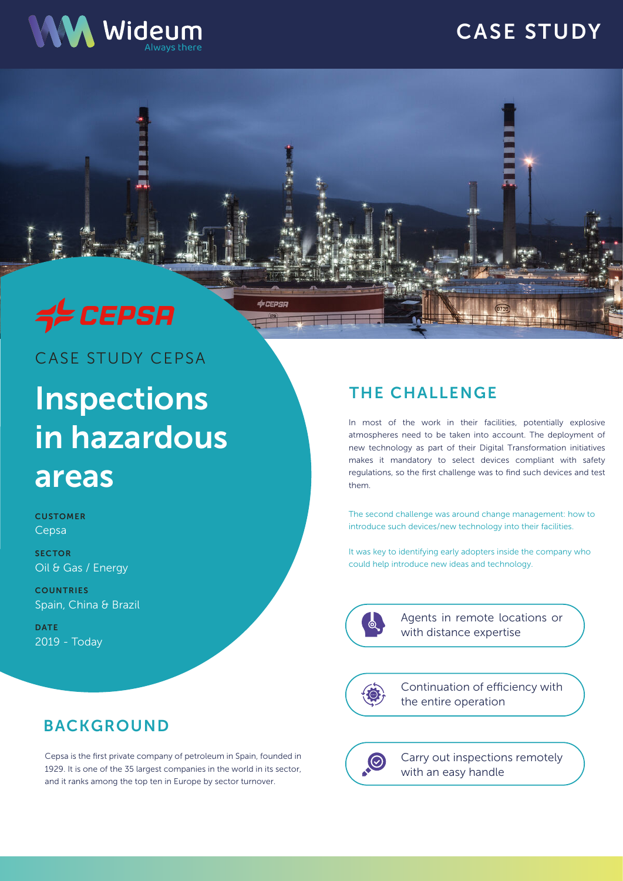# CASE STUDY





# CASE STUDY CEPSA

# Inspections in hazardous areas

**CUSTOMER** Cepsa

**SECTOR** Oil & Gas / Energy

**COUNTRIES** Spain, China & Brazil

**DATE** 2019 - Today

### BACKGROUND

Cepsa is the first private company of petroleum in Spain, founded in 1929. It is one of the 35 largest companies in the world in its sector, and it ranks among the top ten in Europe by sector turnover.

## THE CHALLENGE

In most of the work in their facilities, potentially explosive atmospheres need to be taken into account. The deployment of new technology as part of their Digital Transformation initiatives makes it mandatory to select devices compliant with safety regulations, so the first challenge was to find such devices and test them.

The second challenge was around change management: how to introduce such devices/new technology into their facilities.

It was key to identifying early adopters inside the company who could help introduce new ideas and technology.



dereper

Agents in remote locations or with distance expertise

10

Continuation of efficiency with the entire operation

 $\odot$ 

Carry out inspections remotely with an easy handle